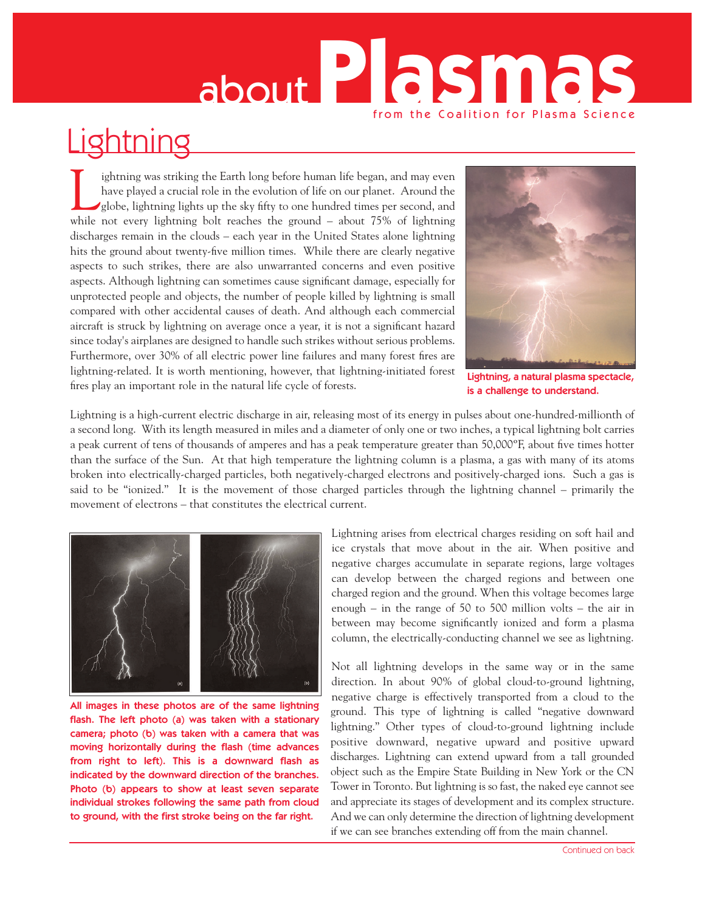## about**Plasmas** from the Coalition for Plasma Science

## Lightning

If ightning was striking the Earth long before human life began, and may even<br>have played a crucial role in the evolution of life on our planet. Around the<br>globe, lightning lights up the sky fifty to one hundred times per have played a crucial role in the evolution of life on our planet. Around the globe, lightning lights up the sky fifty to one hundred times per second, and while not every lightning bolt reaches the ground – about 75% of lightning discharges remain in the clouds – each year in the United States alone lightning hits the ground about twenty-five million times. While there are clearly negative aspects to such strikes, there are also unwarranted concerns and even positive aspects. Although lightning can sometimes cause significant damage, especially for unprotected people and objects, the number of people killed by lightning is small compared with other accidental causes of death. And although each commercial aircraft is struck by lightning on average once a year, it is not a significant hazard since today's airplanes are designed to handle such strikes without serious problems. Furthermore, over 30% of all electric power line failures and many forest fires are lightning-related. It is worth mentioning, however, that lightning-initiated forest fires play an important role in the natural life cycle of forests.



Lightning, a natural plasma spectacle, is a challenge to understand.

Lightning is a high-current electric discharge in air, releasing most of its energy in pulses about one-hundred-millionth of a second long. With its length measured in miles and a diameter of only one or two inches, a typical lightning bolt carries a peak current of tens of thousands of amperes and has a peak temperature greater than 50,000ºF, about five times hotter than the surface of the Sun. At that high temperature the lightning column is a plasma, a gas with many of its atoms broken into electrically-charged particles, both negatively-charged electrons and positively-charged ions. Such a gas is said to be "ionized." It is the movement of those charged particles through the lightning channel – primarily the movement of electrons – that constitutes the electrical current.



All images in these photos are of the same lightning flash. The left photo (a) was taken with a stationary camera; photo (b) was taken with a camera that was moving horizontally during the flash (time advances from right to left). This is a downward flash as indicated by the downward direction of the branches. Photo (b) appears to show at least seven separate individual strokes following the same path from cloud to ground, with the first stroke being on the far right.

Lightning arises from electrical charges residing on soft hail and ice crystals that move about in the air. When positive and negative charges accumulate in separate regions, large voltages can develop between the charged regions and between one charged region and the ground. When this voltage becomes large enough – in the range of 50 to 500 million volts – the air in between may become significantly ionized and form a plasma column, the electrically-conducting channel we see as lightning.

Not all lightning develops in the same way or in the same direction. In about 90% of global cloud-to-ground lightning, negative charge is effectively transported from a cloud to the ground. This type of lightning is called "negative downward lightning." Other types of cloud-to-ground lightning include positive downward, negative upward and positive upward discharges. Lightning can extend upward from a tall grounded object such as the Empire State Building in New York or the CN Tower in Toronto. But lightning is so fast, the naked eye cannot see and appreciate its stages of development and its complex structure. And we can only determine the direction of lightning development if we can see branches extending off from the main channel.